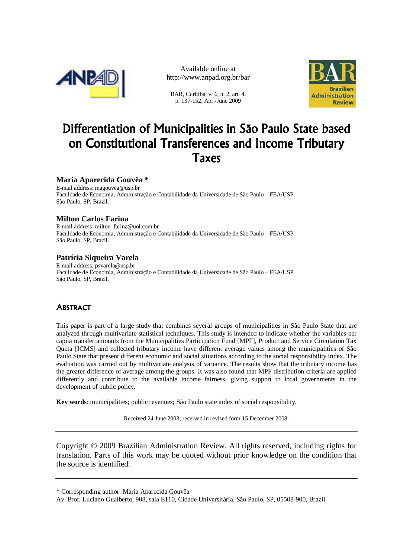

Available online at http://www.anpad.org.br/bar

BAR, Curitiba, v. 6, n. 2, art. 4, p. 137-152, Apr./June 2009



# Differentiation of Municipalities in São Paulo State based on Constitutional Transferences and Income Tributary Taxes

# **Maria Aparecida Gouvêa \***

E-mail address: magouvea@usp.br Faculdade de Economia, Administração e Contabilidade da Universidade de São Paulo – FEA/USP São Paulo, SP, Brazil.

## **Milton Carlos Farina**

E-mail address: milton\_farina@uol.com.br Faculdade de Economia, Administração e Contabilidade da Universidade de São Paulo – FEA/USP São Paulo, SP, Brazil.

#### **Patrícia Siqueira Varela**

E-mail address: psvarela@usp.br Faculdade de Economia, Administração e Contabilidade da Universidade de São Paulo – FEA/USP São Paulo, SP, Brazil.

# **ABSTRACT**

This paper is part of a large study that combines several groups of municipalities in São Paulo State that are analyzed through multivariate statistical techniques. This study is intended to indicate whether the variables per capita transfer amounts from the Municipalities Participation Fund [MPF], Product and Service Circulation Tax Quota [ICMS] and collected tributary income have different average values among the municipalities of São Paulo State that present different economic and social situations according to the social responsibility index. The evaluation was carried out by multivariate analysis of variance. The results show that the tributary income has the greater difference of average among the groups. It was also found that MPF distribution criteria are applied differently and contribute to the available income fairness, giving support to local governments in the development of public policy.

**Key words**: municipalities; public revenues; São Paulo state index of social responsibility.

Received 24 June 2008; received in revised form 15 December 2008.

Copyright © 2009 Brazilian Administration Review. All rights reserved, including rights for translation. Parts of this work may be quoted without prior knowledge on the condition that the source is identified.

<sup>\*</sup> Corresponding author: Maria Aparecida Gouvêa

Av. Prof. Luciano Gualberto, 908, sala E110, Cidade Universitária, São Paulo, SP, 05508-900, Brazil.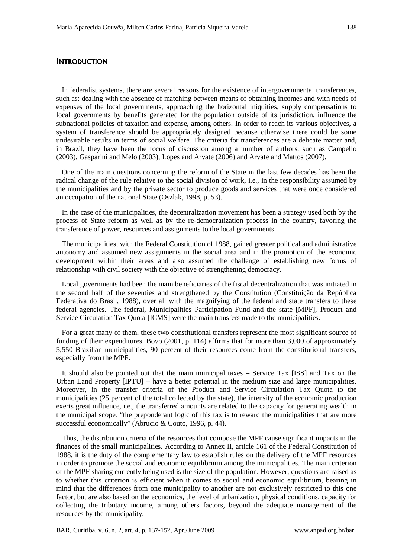#### **INTRODUCTION**

In federalist systems, there are several reasons for the existence of intergovernmental transferences, such as: dealing with the absence of matching between means of obtaining incomes and with needs of expenses of the local governments, approaching the horizontal iniquities, supply compensations to local governments by benefits generated for the population outside of its jurisdiction, influence the subnational policies of taxation and expense, among others. In order to reach its various objectives, a system of transference should be appropriately designed because otherwise there could be some undesirable results in terms of social welfare. The criteria for transferences are a delicate matter and, in Brazil, they have been the focus of discussion among a number of authors, such as Campello (2003), Gasparini and Melo (2003), Lopes and Arvate (2006) and Arvate and Mattos (2007).

One of the main questions concerning the reform of the State in the last few decades has been the radical change of the rule relative to the social division of work, i.e., in the responsibility assumed by the municipalities and by the private sector to produce goods and services that were once considered an occupation of the national State (Oszlak, 1998, p. 53).

In the case of the municipalities, the decentralization movement has been a strategy used both by the process of State reform as well as by the re-democratization process in the country, favoring the transference of power, resources and assignments to the local governments.

The municipalities, with the Federal Constitution of 1988, gained greater political and administrative autonomy and assumed new assignments in the social area and in the promotion of the economic development within their areas and also assumed the challenge of establishing new forms of relationship with civil society with the objective of strengthening democracy.

Local governments had been the main beneficiaries of the fiscal decentralization that was initiated in the second half of the seventies and strengthened by the Constitution (Constituição da República Federativa do Brasil*,* 1988), over all with the magnifying of the federal and state transfers to these federal agencies. The federal, Municipalities Participation Fund and the state [MPF], Product and Service Circulation Tax Quota [ICMS] were the main transfers made to the municipalities.

For a great many of them, these two constitutional transfers represent the most significant source of funding of their expenditures. Bovo (2001, p. 114) affirms that for more than 3,000 of approximately 5,550 Brazilian municipalities, 90 percent of their resources come from the constitutional transfers, especially from the MPF.

It should also be pointed out that the main municipal taxes – Service Tax [ISS] and Tax on the Urban Land Property [IPTU] – have a better potential in the medium size and large municipalities. Moreover, in the transfer criteria of the Product and Service Circulation Tax Quota to the municipalities (25 percent of the total collected by the state), the intensity of the economic production exerts great influence, i.e., the transferred amounts are related to the capacity for generating wealth in the municipal scope. "the preponderant logic of this tax is to reward the municipalities that are more successful economically" (Abrucio & Couto, 1996, p. 44).

Thus, the distribution criteria of the resources that compose the MPF cause significant impacts in the finances of the small municipalities. According to Annex II, article 161 of the Federal Constitution of 1988, it is the duty of the complementary law to establish rules on the delivery of the MPF resources in order to promote the social and economic equilibrium among the municipalities. The main criterion of the MPF sharing currently being used is the size of the population. However, questions are raised as to whether this criterion is efficient when it comes to social and economic equilibrium, bearing in mind that the differences from one municipality to another are not exclusively restricted to this one factor, but are also based on the economics, the level of urbanization, physical conditions, capacity for collecting the tributary income, among others factors, beyond the adequate management of the resources by the municipality.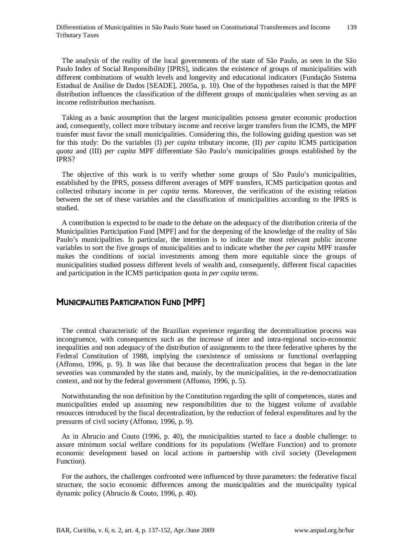The analysis of the reality of the local governments of the state of São Paulo, as seen in the São Paulo Index of Social Responsibility [IPRS], indicates the existence of groups of municipalities with different combinations of wealth levels and longevity and educational indicators (Fundação Sistema Estadual de Análise de Dados [SEADE], 2005a, p. 10). One of the hypotheses raised is that the MPF distribution influences the classification of the different groups of municipalities when serving as an income redistribution mechanism.

Taking as a basic assumption that the largest municipalities possess greater economic production and, consequently, collect more tributary income and receive larger transfers from the ICMS, the MPF transfer must favor the small municipalities. Considering this, the following guiding question was set for this study: Do the variables (I) *per capita* tributary income, (II) *per capita* ICMS participation *quota* and (III) *per capita* MPF differentiate São Paulo's municipalities groups established by the IPRS?

The objective of this work is to verify whether some groups of São Paulo's municipalities, established by the IPRS, possess different averages of MPF transfers, ICMS participation quotas and collected tributary income in *per capita* terms*.* Moreover, the verification of the existing relation between the set of these variables and the classification of municipalities according to the IPRS is studied.

A contribution is expected to be made to the debate on the adequacy of the distribution criteria of the Municipalities Participation Fund [MPF] and for the deepening of the knowledge of the reality of São Paulo's municipalities. In particular, the intention is to indicate the most relevant public income variables to sort the five groups of municipalities and to indicate whether the *per capita* MPF transfer makes the conditions of social investments among them more equitable since the groups of municipalities studied possess different levels of wealth and, consequently, different fiscal capacities and participation in the ICMS participation quota in *per capita* terms.

# MUNICIPALITIES PARTICIPATION FUND [MPF]

The central characteristic of the Brazilian experience regarding the decentralization process was incongruence, with consequences such as the increase of inter and intra-regional socio-economic inequalities and non adequacy of the distribution of assignments to the three federative spheres by the Federal Constitution of 1988, implying the coexistence of omissions or functional overlapping (Affonso, 1996, p. 9). It was like that because the decentralization process that began in the late seventies was commanded by the states and, mainly, by the municipalities, in the re-democratization context, and not by the federal government (Affonso, 1996, p. 5).

Notwithstanding the non definition by the Constitution regarding the split of competences, states and municipalities ended up assuming new responsibilities due to the biggest volume of available resources introduced by the fiscal decentralization, by the reduction of federal expenditures and by the pressures of civil society (Affonso, 1996, p. 9).

As in Abrucio and Couto (1996, p. 40), the municipalities started to face a double challenge: to assure minimum social welfare conditions for its populations (Welfare Function) and to promote economic development based on local actions in partnership with civil society (Development Function).

For the authors, the challenges confronted were influenced by three parameters: the federative fiscal structure, the socio economic differences among the municipalities and the municipality typical dynamic policy (Abrucio & Couto, 1996, p. 40).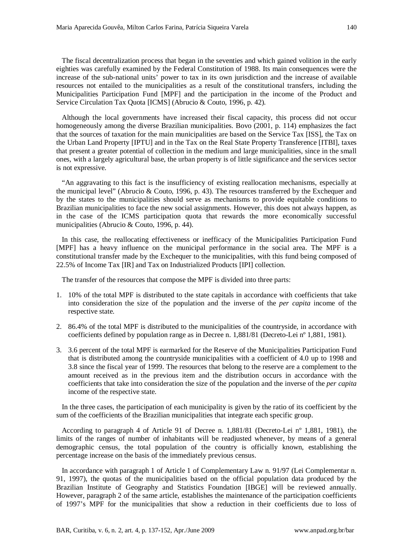The fiscal decentralization process that began in the seventies and which gained volition in the early eighties was carefully examined by the Federal Constitution of 1988. Its main consequences were the increase of the sub-national units' power to tax in its own jurisdiction and the increase of available resources not entailed to the municipalities as a result of the constitutional transfers, including the Municipalities Participation Fund [MPF] and the participation in the income of the Product and Service Circulation Tax Quota [ICMS] (Abrucio & Couto, 1996, p. 42).

Although the local governments have increased their fiscal capacity, this process did not occur homogeneously among the diverse Brazilian municipalities. Bovo (2001, p. 114) emphasizes the fact that the sources of taxation for the main municipalities are based on the Service Tax [ISS], the Tax on the Urban Land Property [IPTU] and in the Tax on the Real State Property Transference [ITBI], taxes that present a greater potential of collection in the medium and large municipalities, since in the small ones, with a largely agricultural base, the urban property is of little significance and the services sector is not expressive.

"An aggravating to this fact is the insufficiency of existing reallocation mechanisms, especially at the municipal level" (Abrucio & Couto, 1996, p. 43). The resources transferred by the Exchequer and by the states to the municipalities should serve as mechanisms to provide equitable conditions to Brazilian municipalities to face the new social assignments. However, this does not always happen, as in the case of the ICMS participation quota that rewards the more economically successful municipalities (Abrucio & Couto, 1996, p. 44).

In this case, the reallocating effectiveness or inefficacy of the Municipalities Participation Fund [MPF] has a heavy influence on the municipal performance in the social area. The MPF is a constitutional transfer made by the Exchequer to the municipalities, with this fund being composed of 22.5% of Income Tax [IR] and Tax on Industrialized Products [IPI] collection.

The transfer of the resources that compose the MPF is divided into three parts:

- 1. 10% of the total MPF is distributed to the state capitals in accordance with coefficients that take into consideration the size of the population and the inverse of the *per capita* income of the respective state.
- 2. 86.4% of the total MPF is distributed to the municipalities of the countryside, in accordance with coefficients defined by population range as in Decree n. 1,881/81 (Decreto-Lei nº 1,881, 1981).
- 3. 3.6 percent of the total MPF is earmarked for the Reserve of the Municipalities Participation Fund that is distributed among the countryside municipalities with a coefficient of 4.0 up to 1998 and 3.8 since the fiscal year of 1999. The resources that belong to the reserve are a complement to the amount received as in the previous item and the distribution occurs in accordance with the coefficients that take into consideration the size of the population and the inverse of the *per capita* income of the respective state.

In the three cases, the participation of each municipality is given by the ratio of its coefficient by the sum of the coefficients of the Brazilian municipalities that integrate each specific group.

According to paragraph 4 of Article 91 of Decree n. 1,881/81 (Decreto-Lei nº 1,881, 1981), the limits of the ranges of number of inhabitants will be readjusted whenever, by means of a general demographic census, the total population of the country is officially known, establishing the percentage increase on the basis of the immediately previous census.

In accordance with paragraph 1 of Article 1 of Complementary Law n. 91/97 (Lei Complementar n. 91, 1997), the quotas of the municipalities based on the official population data produced by the Brazilian Institute of Geography and Statistics Foundation [IBGE] will be reviewed annually. However, paragraph 2 of the same article, establishes the maintenance of the participation coefficients of 1997's MPF for the municipalities that show a reduction in their coefficients due to loss of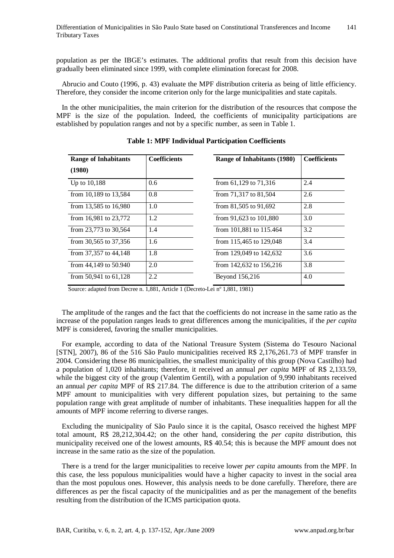population as per the IBGE's estimates. The additional profits that result from this decision have gradually been eliminated since 1999, with complete elimination forecast for 2008.

Abrucio and Couto (1996, p. 43) evaluate the MPF distribution criteria as being of little efficiency. Therefore, they consider the income criterion only for the large municipalities and state capitals.

In the other municipalities, the main criterion for the distribution of the resources that compose the MPF is the size of the population. Indeed, the coefficients of municipality participations are established by population ranges and not by a specific number, as seen in Table 1.

| <b>Range of Inhabitants</b><br>(1980) | <b>Coefficients</b> | Range of Inhabitants (1980) | <b>Coefficients</b> |
|---------------------------------------|---------------------|-----------------------------|---------------------|
| Up to 10,188                          | 0.6                 | from $61,129$ to $71,316$   | 2.4                 |
| from 10,189 to $13,584$               | 0.8                 | from 71,317 to 81,504       | 2.6                 |
| from 13,585 to $16,980$               | 1.0                 | from $81,505$ to $91,692$   | 2.8                 |
| from $16,981$ to $23,772$             | 1.2                 | from 91,623 to 101,880      | 3.0                 |
| from 23,773 to 30,564                 | 1.4                 | from 101,881 to 115.464     | 3.2                 |
| from $30,565$ to $37,356$             | 1.6                 | from 115,465 to 129,048     | 3.4                 |
| from 37,357 to 44,148                 | 1.8                 | from 129,049 to 142,632     | 3.6                 |
| from $44,149$ to $50.940$             | 2.0                 | from 142,632 to 156,216     | 3.8                 |
| from $50,941$ to $61,128$             | 2.2                 | Beyond 156,216              | 4.0                 |

**Table 1: MPF Individual Participation Coefficients** 

Source: adapted from Decree n. 1,881, Article 1 (Decreto-Lei nº 1,881, 1981)

The amplitude of the ranges and the fact that the coefficients do not increase in the same ratio as the increase of the population ranges leads to great differences among the municipalities, if the *per capita*  MPF is considered, favoring the smaller municipalities.

For example, according to data of the National Treasure System (Sistema do Tesouro Nacional [STN], 2007), 86 of the 516 São Paulo municipalities received R\$ 2,176,261.73 of MPF transfer in 2004. Considering these 86 municipalities, the smallest municipality of this group (Nova Castilho) had a population of 1,020 inhabitants; therefore, it received an annual *per capita* MPF of R\$ 2,133.59, while the biggest city of the group (Valentim Gentil), with a population of 9,990 inhabitants received an annual *per capita* MPF of R\$ 217.84. The difference is due to the attribution criterion of a same MPF amount to municipalities with very different population sizes, but pertaining to the same population range with great amplitude of number of inhabitants. These inequalities happen for all the amounts of MPF income referring to diverse ranges.

Excluding the municipality of São Paulo since it is the capital, Osasco received the highest MPF total amount, R\$ 28,212,304.42; on the other hand, considering the *per capita* distribution, this municipality received one of the lowest amounts, R\$ 40.54; this is because the MPF amount does not increase in the same ratio as the size of the population.

There is a trend for the larger municipalities to receive lower *per capita* amounts from the MPF. In this case, the less populous municipalities would have a higher capacity to invest in the social area than the most populous ones. However, this analysis needs to be done carefully. Therefore, there are differences as per the fiscal capacity of the municipalities and as per the management of the benefits resulting from the distribution of the ICMS participation quota.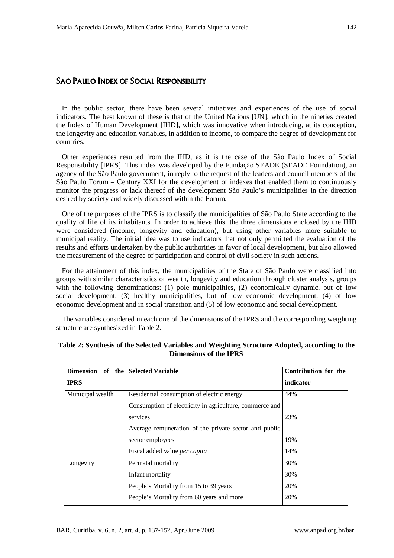## SÃO PAULO INDEX OF SOCIAL RESPONSIBILITY

In the public sector, there have been several initiatives and experiences of the use of social indicators. The best known of these is that of the United Nations [UN], which in the nineties created the Index of Human Development [IHD], which was innovative when introducing, at its conception, the longevity and education variables, in addition to income, to compare the degree of development for countries.

Other experiences resulted from the IHD, as it is the case of the São Paulo Index of Social Responsibility [IPRS]. This index was developed by the Fundação SEADE (SEADE Foundation), an agency of the São Paulo government, in reply to the request of the leaders and council members of the São Paulo Forum – Century XXI for the development of indexes that enabled them to continuously monitor the progress or lack thereof of the development São Paulo's municipalities in the direction desired by society and widely discussed within the Forum.

One of the purposes of the IPRS is to classify the municipalities of São Paulo State according to the quality of life of its inhabitants. In order to achieve this, the three dimensions enclosed by the IHD were considered (income, longevity and education), but using other variables more suitable to municipal reality. The initial idea was to use indicators that not only permitted the evaluation of the results and efforts undertaken by the public authorities in favor of local development, but also allowed the measurement of the degree of participation and control of civil society in such actions.

For the attainment of this index, the municipalities of the State of São Paulo were classified into groups with similar characteristics of wealth, longevity and education through cluster analysis, groups with the following denominations: (1) pole municipalities, (2) economically dynamic, but of low social development, (3) healthy municipalities, but of low economic development, (4) of low economic development and in social transition and (5) of low economic and social development.

The variables considered in each one of the dimensions of the IPRS and the corresponding weighting structure are synthesized in Table 2.

| Dimension of<br>the | <b>Selected Variable</b>                                | Contribution for the |
|---------------------|---------------------------------------------------------|----------------------|
| <b>IPRS</b>         |                                                         | indicator            |
| Municipal wealth    | Residential consumption of electric energy              | 44%                  |
|                     | Consumption of electricity in agriculture, commerce and |                      |
|                     | services                                                | 23%                  |
|                     | Average remuneration of the private sector and public   |                      |
|                     | sector employees                                        | 19%                  |
|                     | Fiscal added value <i>per capita</i>                    | 14%                  |
| Longevity           | Perinatal mortality                                     | 30%                  |
|                     | Infant mortality                                        | 30%                  |
|                     | People's Mortality from 15 to 39 years                  | 20%                  |
|                     | People's Mortality from 60 years and more               | 20%                  |

#### **Table 2: Synthesis of the Selected Variables and Weighting Structure Adopted, according to the Dimensions of the IPRS**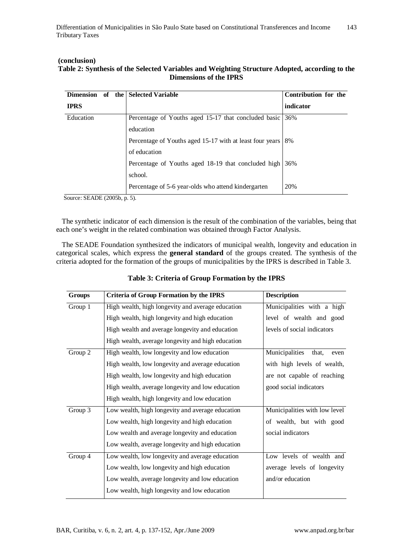#### **(conclusion) Table 2: Synthesis of the Selected Variables and Weighting Structure Adopted, according to the Dimensions of the IPRS**

| Dimension of the | <b>Selected Variable</b>                                 | Contribution for the |
|------------------|----------------------------------------------------------|----------------------|
| <b>IPRS</b>      |                                                          | indicator            |
| Education        | Percentage of Youths aged 15-17 that concluded basic     | 36%                  |
|                  | education                                                |                      |
|                  | Percentage of Youths aged 15-17 with at least four years | 8%                   |
|                  | of education                                             |                      |
|                  | Percentage of Youths aged 18-19 that concluded high      | 36%                  |
|                  | school.                                                  |                      |
|                  | Percentage of 5-6 year-olds who attend kindergarten      | 20%                  |

Source: SEADE (2005b, p. 5).

The synthetic indicator of each dimension is the result of the combination of the variables, being that each one's weight in the related combination was obtained through Factor Analysis.

The SEADE Foundation synthesized the indicators of municipal wealth, longevity and education in categorical scales, which express the **general standard** of the groups created. The synthesis of the criteria adopted for the formation of the groups of municipalities by the IPRS is described in Table 3.

| <b>Groups</b> | <b>Criteria of Group Formation by the IPRS</b>    | <b>Description</b>              |
|---------------|---------------------------------------------------|---------------------------------|
| Group 1       | High wealth, high longevity and average education | Municipalities with a high      |
|               | High wealth, high longevity and high education    | level of wealth and good        |
|               | High wealth and average longevity and education   | levels of social indicators     |
|               | High wealth, average longevity and high education |                                 |
| Group 2       | High wealth, low longevity and low education      | Municipalities<br>that,<br>even |
|               | High wealth, low longevity and average education  | with high levels of wealth,     |
|               | High wealth, low longevity and high education     | are not capable of reaching     |
|               | High wealth, average longevity and low education  | good social indicators          |
|               | High wealth, high longevity and low education     |                                 |
| Group 3       | Low wealth, high longevity and average education  | Municipalities with low level   |
|               | Low wealth, high longevity and high education     | of wealth, but with good        |
|               | Low wealth and average longevity and education    | social indicators               |
|               | Low wealth, average longevity and high education  |                                 |
| Group 4       | Low wealth, low longevity and average education   | Low levels of wealth and        |
|               | Low wealth, low longevity and high education      | average levels of longevity     |
|               | Low wealth, average longevity and low education   | and/or education                |
|               | Low wealth, high longevity and low education      |                                 |

# **Table 3: Criteria of Group Formation by the IPRS**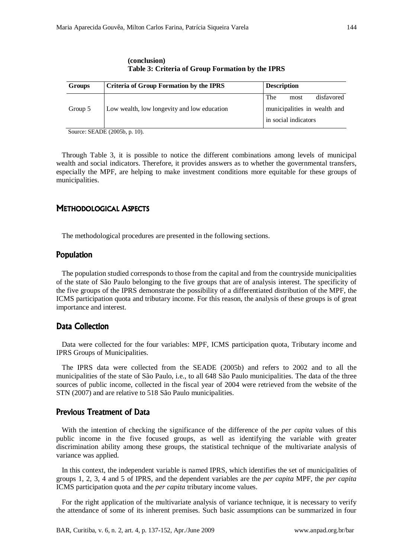| <b>Groups</b> | Criteria of Group Formation by the IPRS     | <b>Description</b>           |
|---------------|---------------------------------------------|------------------------------|
|               |                                             | The<br>disfavored<br>most    |
| Group 5       | Low wealth, low longevity and low education | municipalities in wealth and |
|               |                                             | in social indicators         |
| $\sim$        | $\sim$                                      |                              |

**(conclusion) Table 3: Criteria of Group Formation by the IPRS** 

Source: SEADE (2005b, p. 10).

Through Table 3, it is possible to notice the different combinations among levels of municipal wealth and social indicators. Therefore, it provides answers as to whether the governmental transfers, especially the MPF, are helping to make investment conditions more equitable for these groups of municipalities.

#### METHODOLOGICAL ASPECTS

The methodological procedures are presented in the following sections.

#### Population

The population studied corresponds to those from the capital and from the countryside municipalities of the state of São Paulo belonging to the five groups that are of analysis interest. The specificity of the five groups of the IPRS demonstrate the possibility of a differentiated distribution of the MPF, the ICMS participation quota and tributary income. For this reason, the analysis of these groups is of great importance and interest.

# Data Collection

Data were collected for the four variables: MPF, ICMS participation quota, Tributary income and IPRS Groups of Municipalities.

The IPRS data were collected from the SEADE (2005b) and refers to 2002 and to all the municipalities of the state of São Paulo, i.e., to all 648 São Paulo municipalities. The data of the three sources of public income, collected in the fiscal year of 2004 were retrieved from the website of the STN (2007) and are relative to 518 São Paulo municipalities.

# Previous Treatment of Data

With the intention of checking the significance of the difference of the *per capita* values of this public income in the five focused groups, as well as identifying the variable with greater discrimination ability among these groups, the statistical technique of the multivariate analysis of variance was applied.

In this context, the independent variable is named IPRS, which identifies the set of municipalities of groups 1, 2, 3, 4 and 5 of IPRS, and the dependent variables are the *per capita* MPF, the *per capita* ICMS participation quota and the *per capita* tributary income values.

For the right application of the multivariate analysis of variance technique, it is necessary to verify the attendance of some of its inherent premises. Such basic assumptions can be summarized in four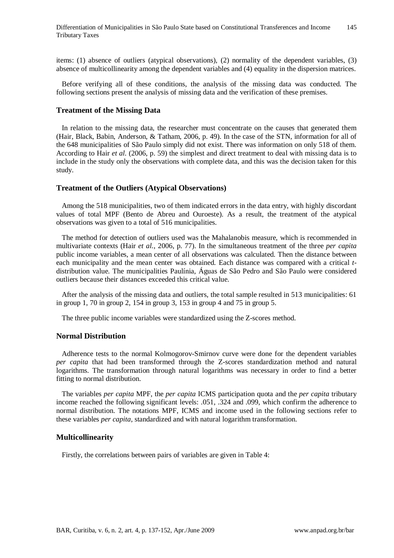items: (1) absence of outliers (atypical observations), (2) normality of the dependent variables, (3) absence of multicollinearity among the dependent variables and (4) equality in the dispersion matrices.

Before verifying all of these conditions, the analysis of the missing data was conducted. The following sections present the analysis of missing data and the verification of these premises.

#### **Treatment of the Missing Data**

In relation to the missing data, the researcher must concentrate on the causes that generated them (Hair, Black, Babin, Anderson, & Tatham, 2006, p. 49). In the case of the STN, information for all of the 648 municipalities of São Paulo simply did not exist. There was information on only 518 of them. According to Hair *et al.* (2006, p. 59) the simplest and direct treatment to deal with missing data is to include in the study only the observations with complete data, and this was the decision taken for this study.

#### **Treatment of the Outliers (Atypical Observations)**

Among the 518 municipalities, two of them indicated errors in the data entry, with highly discordant values of total MPF (Bento de Abreu and Ouroeste). As a result, the treatment of the atypical observations was given to a total of 516 municipalities.

The method for detection of outliers used was the Mahalanobis measure, which is recommended in multivariate contexts (Hair *et al.*, 2006, p. 77). In the simultaneous treatment of the three *per capita* public income variables, a mean center of all observations was calculated. Then the distance between each municipality and the mean center was obtained. Each distance was compared with a critical *t*distribution value. The municipalities Paulínia, Águas de São Pedro and São Paulo were considered outliers because their distances exceeded this critical value.

After the analysis of the missing data and outliers, the total sample resulted in 513 municipalities: 61 in group 1, 70 in group 2, 154 in group 3, 153 in group 4 and 75 in group 5.

The three public income variables were standardized using the Z-scores method.

#### **Normal Distribution**

Adherence tests to the normal Kolmogorov-Smirnov curve were done for the dependent variables *per capita* that had been transformed through the Z-scores standardization method and natural logarithms. The transformation through natural logarithms was necessary in order to find a better fitting to normal distribution.

The variables *per capita* MPF, the *per capita* ICMS participation quota and the *per capita* tributary income reached the following significant levels: .051, .324 and .099, which confirm the adherence to normal distribution. The notations MPF, ICMS and income used in the following sections refer to these variables *per capita*, standardized and with natural logarithm transformation.

#### **Multicollinearity**

Firstly, the correlations between pairs of variables are given in Table 4: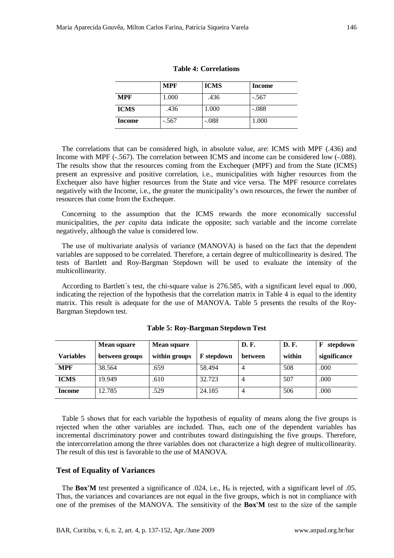|  |  |  | one of the premises of the MANOVA. The sensitivity of the <b>Box'M</b> test to the size of the sample |  |  |  |  |  |  |
|--|--|--|-------------------------------------------------------------------------------------------------------|--|--|--|--|--|--|
|  |  |  |                                                                                                       |  |  |  |  |  |  |

|               | <b>MPF</b> | <b>ICMS</b> | <b>Income</b> |
|---------------|------------|-------------|---------------|
| <b>MPF</b>    | 1.000      | .436        | $-.567$       |
| <b>ICMS</b>   | .436       | 1.000       | $-.088$       |
| <b>Income</b> | $-.567$    | $-.088$     | 1.000         |

**Table 4: Correlations** 

The correlations that can be considered high, in absolute value, are: ICMS with MPF (.436) and Income with MPF (-.567). The correlation between ICMS and income can be considered low (-.088). The results show that the resources coming from the Exchequer (MPF) and from the State (ICMS) present an expressive and positive correlation, i.e., municipalities with higher resources from the Exchequer also have higher resources from the State and vice versa. The MPF resource correlates negatively with the Income, i.e., the greater the municipality's own resources, the fewer the number of resources that come from the Exchequer.

Concerning to the assumption that the ICMS rewards the more economically successful municipalities, the *per capita* data indicate the opposite; such variable and the income correlate negatively, although the value is considered low.

The use of multivariate analysis of variance (MANOVA) is based on the fact that the dependent variables are supposed to be correlated. Therefore, a certain degree of multicollinearity is desired. The tests of Bartlett and Roy-Bargman Stepdown will be used to evaluate the intensity of the multicollinearity.

According to Bartlett´s test, the chi-square value is 276.585, with a significant level equal to .000, indicating the rejection of the hypothesis that the correlation matrix in Table 4 is equal to the identity matrix. This result is adequate for the use of MANOVA. Table 5 presents the results of the Roy-Bargman Stepdown test.

|                  | <b>Mean square</b> | <b>Mean square</b> |                   | D. F.          | D. F.  | F<br>stepdown |
|------------------|--------------------|--------------------|-------------------|----------------|--------|---------------|
| <b>Variables</b> | between groups     | within groups      | <b>F</b> stepdown | <b>between</b> | within | significance  |
| <b>MPF</b>       | 38.564             | .659               | 58.494            | 4              | 508    | .000          |
| <b>ICMS</b>      | 19.949             | .610               | 32.723            | 4              | 507    | .000          |
| <b>Income</b>    | 12.785             | .529               | 24.185            | 4              | 506    | .000          |

**Table 5: Roy-Bargman Stepdown Test** 

Table 5 shows that for each variable the hypothesis of equality of means along the five groups is rejected when the other variables are included. Thus, each one of the dependent variables has incremental discriminatory power and contributes toward distinguishing the five groups. Therefore, the intercorrelation among the three variables does not characterize a high degree of multicollinearity. The result of this test is favorable to the use of MANOVA.

The **Box'M** test presented a significance of .024, i.e.,  $H_0$  is rejected, with a significant level of .05. Thus, the variances and covariances are not equal in the five groups, which is not in compliance with

#### **Test of Equality of Variances**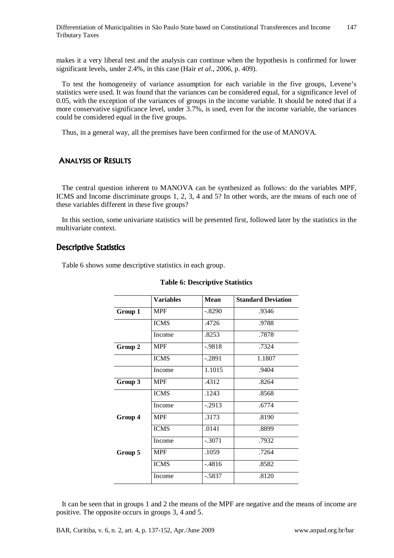makes it a very liberal test and the analysis can continue when the hypothesis is confirmed for lower significant levels, under 2.4%, in this case (Hair *et al.*, 2006, p. 409).

To test the homogeneity of variance assumption for each variable in the five groups, Levene's statistics were used. It was found that the variances can be considered equal, for a significance level of 0.05, with the exception of the variances of groups in the income variable. It should be noted that if a more conservative significance level, under 3.7%, is used, even for the income variable, the variances could be considered equal in the five groups.

Thus, in a general way, all the premises have been confirmed for the use of MANOVA.

# ANALYSIS OF RESULTS

The central question inherent to MANOVA can be synthesized as follows: do the variables MPF, ICMS and Income discriminate groups 1, 2, 3, 4 and 5? In other words, are the means of each one of these variables different in these five groups?

In this section, some univariate statistics will be presented first, followed later by the statistics in the multivariate context.

# Descriptive Statistics

Table 6 shows some descriptive statistics in each group.

|         | <b>Variables</b> | Mean      | <b>Standard Deviation</b> |
|---------|------------------|-----------|---------------------------|
| Group 1 | <b>MPF</b>       | $-.8290$  | .9346                     |
|         | <b>ICMS</b>      | .4726     | .9788                     |
|         | Income           | .8253     | .7878                     |
| Group 2 | <b>MPF</b>       | $-0.9818$ | .7324                     |
|         | <b>ICMS</b>      | $-.2891$  | 1.1807                    |
|         | Income           | 1.1015    | .9404                     |
| Group 3 | <b>MPF</b>       | .4312     | .8264                     |
|         | <b>ICMS</b>      | .1243     | .8568                     |
|         | Income           | $-.2913$  | .6774                     |
| Group 4 | <b>MPF</b>       | .3173     | .8190                     |
|         | <b>ICMS</b>      | .0141     | .8899                     |
|         | Income           | $-.3071$  | .7932                     |
| Group 5 | <b>MPF</b>       | .1059     | .7264                     |
|         | <b>ICMS</b>      | $-.4816$  | .8582                     |
|         | Income           | $-.5837$  | .8120                     |

#### **Table 6: Descriptive Statistics**

It can be seen that in groups 1 and 2 the means of the MPF are negative and the means of income are positive. The opposite occurs in groups 3, 4 and 5.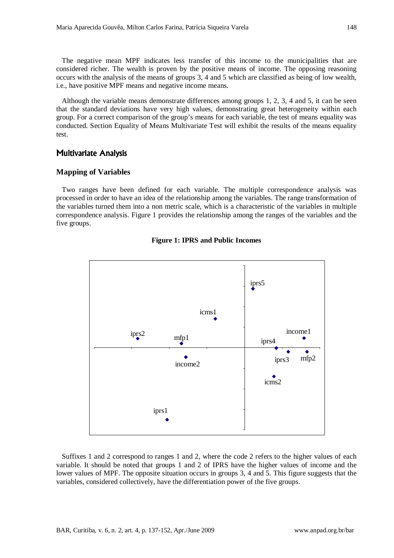The negative mean MPF indicates less transfer of this income to the municipalities that are considered richer. The wealth is proven by the positive means of income. The opposing reasoning occurs with the analysis of the means of groups 3, 4 and 5 which are classified as being of low wealth, i.e., have positive MPF means and negative income means*.* 

Although the variable means demonstrate differences among groups 1, 2, 3, 4 and 5, it can be seen that the standard deviations have very high values, demonstrating great heterogeneity within each group. For a correct comparison of the group's means for each variable, the test of means equality was conducted. Section Equality of Means Multivariate Test will exhibit the results of the means equality test.

## **Multivariate Analysis**

#### **Mapping of Variables**

Two ranges have been defined for each variable. The multiple correspondence analysis was processed in order to have an idea of the relationship among the variables. The range transformation of the variables turned them into a non metric scale, which is a characteristic of the variables in multiple correspondence analysis. Figure 1 provides the relationship among the ranges of the variables and the five groups.



#### **Figure 1: IPRS and Public Incomes**

Suffixes 1 and 2 correspond to ranges 1 and 2, where the code 2 refers to the higher values of each variable. It should be noted that groups 1 and 2 of IPRS have the higher values of income and the lower values of MPF. The opposite situation occurs in groups 3, 4 and 5. This figure suggests that the variables, considered collectively, have the differentiation power of the five groups.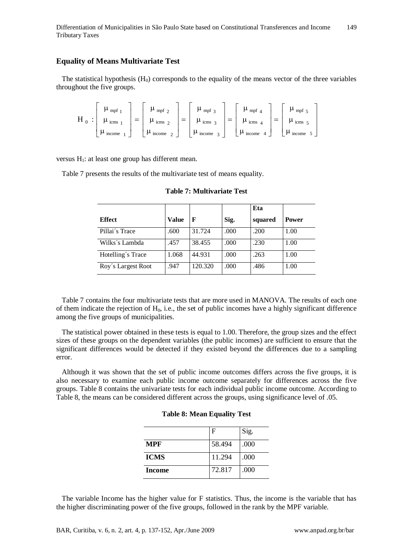Differentiation of Municipalities in São Paulo State based on Constitutional Transferences and Income Tributary Taxes 149

#### **Equality of Means Multivariate Test**

The statistical hypothesis  $(H_0)$  corresponds to the equality of the means vector of the three variables throughout the five groups.

$$
H_0: \left[\begin{array}{c}\mu_{mpf_1} \\ \mu_{icm_1} \\ \mu_{icm_2} \\ \end{array}\right]=\left[\begin{array}{c}\mu_{mpf_2} \\ \mu_{icm_2} \\ \mu_{icm_2} \\ \end{array}\right]=\left[\begin{array}{c}\mu_{mpf_3} \\ \mu_{icm_3} \\ \mu_{icm_4} \\ \end{array}\right]=\left[\begin{array}{c}\mu_{mpf_4} \\ \mu_{icm_4} \\ \mu_{icm_4} \\ \end{array}\right]=\left[\begin{array}{c}\mu_{mpf_5} \\ \mu_{icm_5} \\ \mu_{icm_6} \\ \end{array}\right]
$$

versus  $H_1$ : at least one group has different mean.

Table 7 presents the results of the multivariate test of means equality.

|                    |              |         |       | Eta     |              |
|--------------------|--------------|---------|-------|---------|--------------|
| <b>Effect</b>      | <b>Value</b> | F       | Sig.  | squared | <b>Power</b> |
| Pillai's Trace     | .600         | 31.724  | .000  | .200    | 1.00         |
| Wilks's Lambda     | .457         | 38.455  | .000  | .230    | 1.00         |
| Hotelling's Trace  | 1.068        | 44.931  | .000  | .263    | 1.00         |
| Roy's Largest Root | .947         | 120.320 | .000. | .486    | 1.00         |

**Table 7: Multivariate Test** 

Table 7 contains the four multivariate tests that are more used in MANOVA. The results of each one of them indicate the rejection of  $H_0$ , i.e., the set of public incomes have a highly significant difference among the five groups of municipalities.

The statistical power obtained in these tests is equal to 1.00. Therefore, the group sizes and the effect sizes of these groups on the dependent variables (the public incomes) are sufficient to ensure that the significant differences would be detected if they existed beyond the differences due to a sampling error.

Although it was shown that the set of public income outcomes differs across the five groups, it is also necessary to examine each public income outcome separately for differences across the five groups. Table 8 contains the univariate tests for each individual public income outcome. According to Table 8, the means can be considered different across the groups, using significance level of .05.

| <b>Table 8: Mean Equality Test</b> |  |
|------------------------------------|--|
|                                    |  |

|             | F      | Sig. |
|-------------|--------|------|
| <b>MPF</b>  | 58.494 | .000 |
| <b>ICMS</b> | 11.294 | .000 |
| Income      | 72.817 | .000 |

The variable Income has the higher value for F statistics. Thus, the income is the variable that has the higher discriminating power of the five groups, followed in the rank by the MPF variable.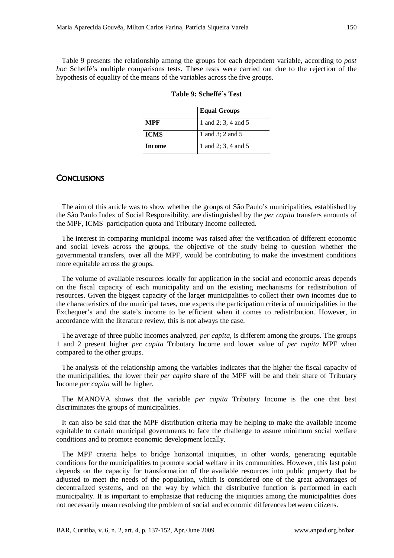Table 9 presents the relationship among the groups for each dependent variable, according to *post hoc* Scheffé's multiple comparisons tests. These tests were carried out due to the rejection of the hypothesis of equality of the means of the variables across the five groups.

|             | <b>Equal Groups</b> |
|-------------|---------------------|
| MPF         | 1 and 2; 3, 4 and 5 |
| <b>ICMS</b> | 1 and 3; 2 and 5    |
| Income      | 1 and 2; 3, 4 and 5 |

**Table 9: Scheffé´s Test** 

# **CONCLUSIONS**

The aim of this article was to show whether the groups of São Paulo's municipalities, established by the São Paulo Index of Social Responsibility, are distinguished by the *per capita* transfers amounts of the MPF, ICMS participation quota and Tributary Income collected.

The interest in comparing municipal income was raised after the verification of different economic and social levels across the groups, the objective of the study being to question whether the governmental transfers, over all the MPF, would be contributing to make the investment conditions more equitable across the groups.

The volume of available resources locally for application in the social and economic areas depends on the fiscal capacity of each municipality and on the existing mechanisms for redistribution of resources. Given the biggest capacity of the larger municipalities to collect their own incomes due to the characteristics of the municipal taxes, one expects the participation criteria of municipalities in the Exchequer's and the state's income to be efficient when it comes to redistribution. However, in accordance with the literature review, this is not always the case.

The average of three public incomes analyzed, *per capita,* is different among the groups. The groups 1 and 2 present higher *per capita* Tributary Income and lower value of *per capita* MPF when compared to the other groups.

The analysis of the relationship among the variables indicates that the higher the fiscal capacity of the municipalities, the lower their *per capita* share of the MPF will be and their share of Tributary Income *per capita* will be higher.

The MANOVA shows that the variable *per capita* Tributary Income is the one that best discriminates the groups of municipalities.

It can also be said that the MPF distribution criteria may be helping to make the available income equitable to certain municipal governments to face the challenge to assure minimum social welfare conditions and to promote economic development locally.

The MPF criteria helps to bridge horizontal iniquities, in other words, generating equitable conditions for the municipalities to promote social welfare in its communities. However, this last point depends on the capacity for transformation of the available resources into public property that be adjusted to meet the needs of the population, which is considered one of the great advantages of decentralized systems, and on the way by which the distributive function is performed in each municipality. It is important to emphasize that reducing the iniquities among the municipalities does not necessarily mean resolving the problem of social and economic differences between citizens.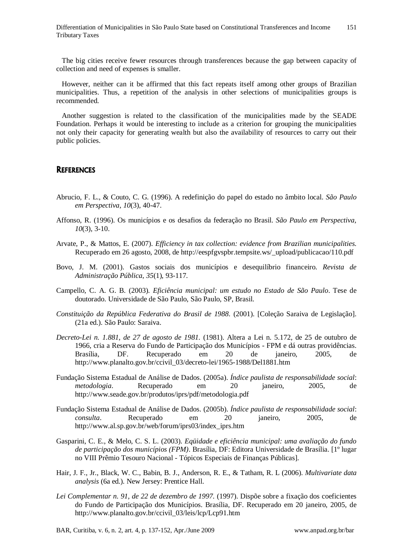The big cities receive fewer resources through transferences because the gap between capacity of collection and need of expenses is smaller.

However, neither can it be affirmed that this fact repeats itself among other groups of Brazilian municipalities. Thus, a repetition of the analysis in other selections of municipalities groups is recommended.

Another suggestion is related to the classification of the municipalities made by the SEADE Foundation. Perhaps it would be interesting to include as a criterion for grouping the municipalities not only their capacity for generating wealth but also the availability of resources to carry out their public policies.

# **REFERENCES**

- Abrucio, F. L., & Couto, C. G. (1996). A redefinição do papel do estado no âmbito local. *São Paulo em Perspectiva, 10*(3), 40-47.
- Affonso, R. (1996). Os municípios e os desafios da federação no Brasil. *São Paulo em Perspectiva, 10*(3), 3-10.
- Arvate, P., & Mattos, E. (2007). *Efficiency in tax collection: evidence from Brazilian municipalities.* Recuperado em 26 agosto, 2008, de http://eespfgvspbr.tempsite.ws/\_upload/publicacao/110.pdf
- Bovo, J. M. (2001). Gastos sociais dos municípios e desequilíbrio financeiro. *Revista de Administração Pública*, *35*(1), 93-117.
- Campello, C. A. G. B. (2003). *Eficiência municipal: um estudo no Estado de São Paulo*. Tese de doutorado. Universidade de São Paulo, São Paulo, SP, Brasil.
- *Constituição da República Federativa do Brasil de 1988*. (2001). [Coleção Saraiva de Legislação]. (21a ed.). São Paulo: Saraiva.
- *Decreto-Lei n. 1.881, de 27 de agosto de 1981.* (1981). Altera a Lei n. 5.172, de 25 de outubro de 1966, cria a Reserva do Fundo de Participação dos Municípios - FPM e dá outras providências. Brasília, DF. Recuperado em 20 de janeiro, 2005, de http://www.planalto.gov.br/ccivil\_03/decreto-lei/1965-1988/Del1881.htm
- Fundação Sistema Estadual de Análise de Dados. (2005a). *Índice paulista de responsabilidade social*: *metodologia*. Recuperado em 20 janeiro, 2005, de http://www.seade.gov.br/produtos/iprs/pdf/metodologia.pdf
- Fundação Sistema Estadual de Análise de Dados. (2005b). *Índice paulista de responsabilidade social*: *consulta*. Recuperado em 20 janeiro, 2005, de http://www.al.sp.gov.br/web/forum/iprs03/index\_iprs.htm
- Gasparini, C. E., & Melo, C. S. L. (2003). *Eqüidade e eficiência municipal: uma avaliação do fundo de participação dos municípios (FPM)*. Brasília, DF: Editora Universidade de Brasília. [1º lugar no VIII Prêmio Tesouro Nacional - Tópicos Especiais de Finanças Públicas].
- Hair, J. F., Jr., Black, W. C., Babin, B. J., Anderson, R. E., & Tatham, R. L (2006). *Multivariate data analysis* (6a ed.). New Jersey: Prentice Hall.
- *Lei Complementar n. 91, de 22 de dezembro de 1997.* (1997). Dispõe sobre a fixação dos coeficientes do Fundo de Participação dos Municípios. Brasília, DF. Recuperado em 20 janeiro, 2005, de http://www.planalto.gov.br/ccivil\_03/leis/lcp/Lcp91.htm